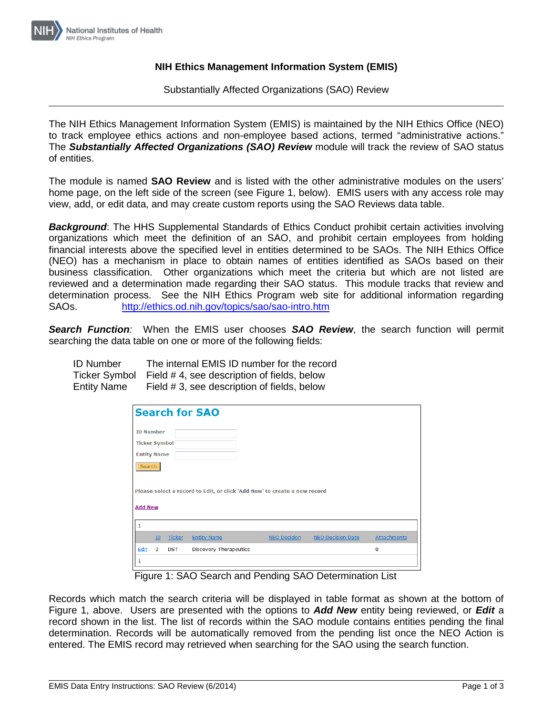

## **NIH Ethics Management Information System (EMIS)**

Substantially Affected Organizations (SAO) Review

The NIH Ethics Management Information System (EMIS) is maintained by the NIH Ethics Office (NEO) to track employee ethics actions and non-employee based actions, termed "administrative actions." The *Substantially Affected Organizations (SAO) Review* module will track the review of SAO status of entities.

The module is named **SAO Review** and is listed with the other administrative modules on the users' home page, on the left side of the screen (see Figure 1, below). EMIS users with any access role may view, add, or edit data, and may create custom reports using the SAO Reviews data table.

*Background*: The HHS Supplemental Standards of Ethics Conduct prohibit certain activities involving organizations which meet the definition of an SAO, and prohibit certain employees from holding financial interests above the specified level in entities determined to be SAOs. The NIH Ethics Office (NEO) has a mechanism in place to obtain names of entities identified as SAOs based on their business classification. Other organizations which meet the criteria but which are not listed are reviewed and a determination made regarding their SAO status. This module tracks that review and determination process. See the NIH Ethics Program web site for additional information regarding SAOs. <http://ethics.od.nih.gov/topics/sao/sao-intro.htm>

*Search Function:* When the EMIS user chooses *SAO Review*, the search function will permit searching the data table on one or more of the following fields:

| <b>ID Number</b>   | The internal EMIS ID number for the record               |
|--------------------|----------------------------------------------------------|
|                    | Ticker Symbol Field #4, see description of fields, below |
| <b>Entity Name</b> | Field #3, see description of fields, below               |

|                                                                           |            | <b>Search for SAO</b>         |                     |                          |             |
|---------------------------------------------------------------------------|------------|-------------------------------|---------------------|--------------------------|-------------|
| <b>ID Number</b>                                                          |            |                               |                     |                          |             |
| <b>Ticker Symbol</b>                                                      |            |                               |                     |                          |             |
| <b>Entity Name</b>                                                        |            |                               |                     |                          |             |
| Search                                                                    |            |                               |                     |                          |             |
|                                                                           |            |                               |                     |                          |             |
| Please select a record to Edit, or click 'Add New' to create a new record |            |                               |                     |                          |             |
| <b>Add New</b>                                                            |            |                               |                     |                          |             |
|                                                                           |            |                               |                     |                          |             |
| 1                                                                         |            |                               |                     |                          |             |
| ID                                                                        | Ticker     | <b>Entity Name</b>            | <b>NEO Decision</b> | <b>NEO Decision Date</b> | Attachments |
| Edit<br>$\overline{2}$                                                    | <b>DST</b> | <b>Discovery Therapeutics</b> |                     |                          | 0           |

Figure 1: SAO Search and Pending SAO Determination List

Records which match the search criteria will be displayed in table format as shown at the bottom of Figure 1, above. Users are presented with the options to *Add New* entity being reviewed, or *Edit* a record shown in the list. The list of records within the SAO module contains entities pending the final determination. Records will be automatically removed from the pending list once the NEO Action is entered. The EMIS record may retrieved when searching for the SAO using the search function.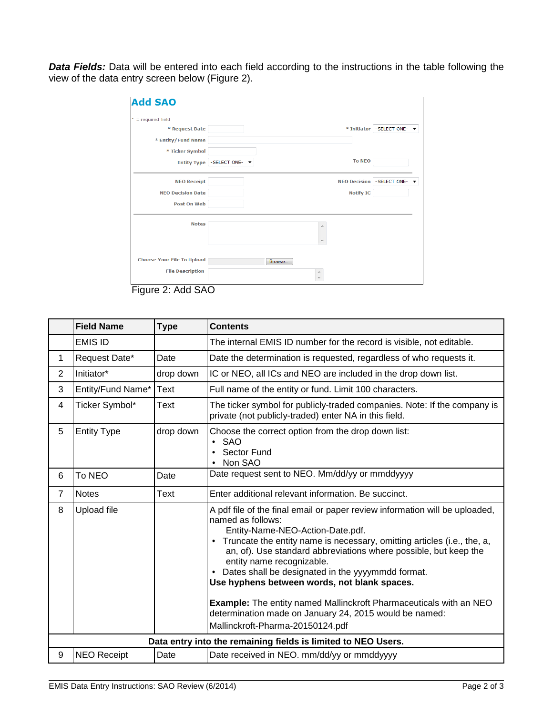*Data Fields:* Data will be entered into each field according to the instructions in the table following the view of the data entry screen below (Figure 2).

| $*$ = required field              |                         |        |   |                  |                              |
|-----------------------------------|-------------------------|--------|---|------------------|------------------------------|
| * Request Date                    |                         |        |   |                  | * Initiator - SELECT ONE-    |
| * Entity/Fund Name                |                         |        |   |                  |                              |
| * Ticker Symbol                   |                         |        |   |                  |                              |
|                                   | Entity Type SELECT ONE- |        |   | <b>To NEO</b>    |                              |
| <b>NEO Receipt</b>                |                         |        |   |                  | NEO Decision - SELECT ONE- ▼ |
| <b>NEO Decision Date</b>          |                         |        |   | <b>Notify IC</b> |                              |
| <b>Post On Web</b>                |                         |        |   |                  |                              |
| <b>Notes</b>                      |                         |        | ▲ |                  |                              |
|                                   |                         |        |   |                  |                              |
|                                   |                         |        |   |                  |                              |
| <b>Choose Your File To Upload</b> |                         | Browse |   |                  |                              |
| <b>File Description</b>           |                         |        | 杰 |                  |                              |

Figure 2: Add SAO

|                | <b>Field Name</b>                                             | <b>Type</b> | <b>Contents</b>                                                                                                                                                                                                                                                                                                                                                                                                                                                                                                                                                                                    |  |  |
|----------------|---------------------------------------------------------------|-------------|----------------------------------------------------------------------------------------------------------------------------------------------------------------------------------------------------------------------------------------------------------------------------------------------------------------------------------------------------------------------------------------------------------------------------------------------------------------------------------------------------------------------------------------------------------------------------------------------------|--|--|
|                | <b>EMIS ID</b>                                                |             | The internal EMIS ID number for the record is visible, not editable.                                                                                                                                                                                                                                                                                                                                                                                                                                                                                                                               |  |  |
| 1              | Request Date*                                                 | Date        | Date the determination is requested, regardless of who requests it.                                                                                                                                                                                                                                                                                                                                                                                                                                                                                                                                |  |  |
| $\overline{2}$ | Initiator*                                                    | drop down   | IC or NEO, all ICs and NEO are included in the drop down list.                                                                                                                                                                                                                                                                                                                                                                                                                                                                                                                                     |  |  |
| 3              | Entity/Fund Name*                                             | Text        | Full name of the entity or fund. Limit 100 characters.                                                                                                                                                                                                                                                                                                                                                                                                                                                                                                                                             |  |  |
| 4              | Ticker Symbol*                                                | Text        | The ticker symbol for publicly-traded companies. Note: If the company is<br>private (not publicly-traded) enter NA in this field.                                                                                                                                                                                                                                                                                                                                                                                                                                                                  |  |  |
| 5              | <b>Entity Type</b>                                            | drop down   | Choose the correct option from the drop down list:<br>$\bullet$ SAO<br>Sector Fund<br>Non SAO                                                                                                                                                                                                                                                                                                                                                                                                                                                                                                      |  |  |
| 6              | To NEO                                                        | Date        | Date request sent to NEO. Mm/dd/yy or mmddyyyy                                                                                                                                                                                                                                                                                                                                                                                                                                                                                                                                                     |  |  |
| 7              | <b>Notes</b>                                                  | Text        | Enter additional relevant information. Be succinct.                                                                                                                                                                                                                                                                                                                                                                                                                                                                                                                                                |  |  |
| 8              | <b>Upload file</b>                                            |             | A pdf file of the final email or paper review information will be uploaded,<br>named as follows:<br>Entity-Name-NEO-Action-Date.pdf.<br>• Truncate the entity name is necessary, omitting articles (i.e., the, a,<br>an, of). Use standard abbreviations where possible, but keep the<br>entity name recognizable.<br>Dates shall be designated in the yyyymmdd format.<br>Use hyphens between words, not blank spaces.<br><b>Example:</b> The entity named Mallinckroft Pharmaceuticals with an NEO<br>determination made on January 24, 2015 would be named:<br>Mallinckroft-Pharma-20150124.pdf |  |  |
|                | Data entry into the remaining fields is limited to NEO Users. |             |                                                                                                                                                                                                                                                                                                                                                                                                                                                                                                                                                                                                    |  |  |
| 9              | <b>NEO Receipt</b>                                            | Date        | Date received in NEO. mm/dd/yy or mmddyyyy                                                                                                                                                                                                                                                                                                                                                                                                                                                                                                                                                         |  |  |